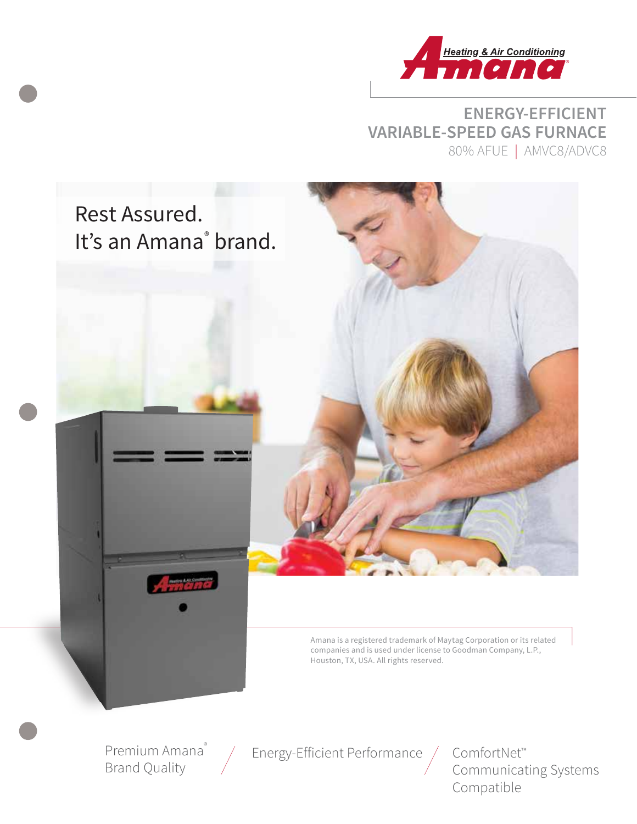

**ENERGY-EFFICIENT VARIABLE-SPEED GAS FURNACE**  80% AFUE | AMVC8/ADVC8



Amana is a registered trademark of Maytag Corporation or its related companies and is used under license to Goodman Company, L.P., Houston, TX, USA. All rights reserved.

Premium Amana® Brand Quality

Energy-Efficient Performance / ComfortNet™

Communicating Systems Compatible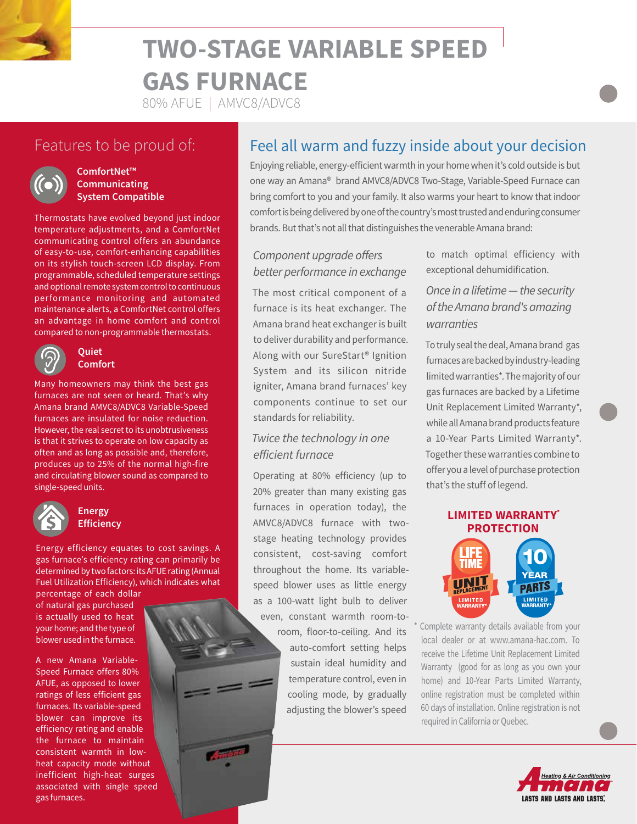# **TWO-STAGE VARIABLE SPEED GAS FURNACE**

80% AFUE | AMVC8/ADVC8

# Features to be proud of:



#### **ComfortNet™ Communicating System Compatible**

Thermostats have evolved beyond just indoor temperature adjustments, and a ComfortNet communicating control offers an abundance of easy-to-use, comfort-enhancing capabilities on its stylish touch-screen LCD display. From programmable, scheduled temperature settings and optional remote system control to continuous performance monitoring and automated maintenance alerts, a ComfortNet control offers an advantage in home comfort and control compared to non-programmable thermostats.



#### **Quiet Comfort**

Many homeowners may think the best gas furnaces are not seen or heard. That's why Amana brand AMVC8/ADVC8 Variable-Speed furnaces are insulated for noise reduction. However, the real secret to its unobtrusiveness is that it strives to operate on low capacity as often and as long as possible and, therefore, produces up to 25% of the normal high-fire and circulating blower sound as compared to single-speed units.



#### **Energy Efficiency**

Energy efficiency equates to cost savings. A gas furnace's efficiency rating can primarily be determined by two factors: its AFUE rating (Annual Fuel Utilization Efficiency), which indicates what

percentage of each dollar of natural gas purchased is actually used to heat your home; and the type of blower used in the furnace.

A new Amana Variable-Speed Furnace offers 80% AFUE, as opposed to lower ratings of less efficient gas furnaces. Its variable-speed blower can improve its efficiency rating and enable the furnace to maintain consistent warmth in lowheat capacity mode without inefficient high-heat surges associated with single speed gas furnaces.

# Feel all warm and fuzzy inside about your decision

Enjoying reliable, energy-efficient warmth in your home when it's cold outside is but one way an Amana® brand AMVC8/ADVC8 Two-Stage, Variable-Speed Furnace can bring comfort to you and your family. It also warms your heart to know that indoor comfort is being delivered by one of the country's most trusted and enduring consumer brands. But that's not all that distinguishes the venerable Amana brand:

### *Component upgrade offers better performance in exchange*

The most critical component of a furnace is its heat exchanger. The Amana brand heat exchanger is built to deliver durability and performance. Along with our SureStart® Ignition System and its silicon nitride igniter, Amana brand furnaces' key components continue to set our standards for reliability.

#### *Twice the technology in one efficient furnace*

Operating at 80% efficiency (up to 20% greater than many existing gas furnaces in operation today), the AMVC8/ADVC8 furnace with twostage heating technology provides consistent, cost-saving comfort throughout the home. Its variablespeed blower uses as little energy as a 100-watt light bulb to deliver

even, constant warmth room-toroom, floor-to-ceiling. And its auto-comfort setting helps sustain ideal humidity and temperature control, even in cooling mode, by gradually adjusting the blower's speed

to match optimal efficiency with exceptional dehumidification.

## *Once in a lifetime — the security of the Amana brand's amazing warranties*

To truly seal the deal, Amana brand gas furnaces are backed by industry-leading limited warranties\*. The majority of our gas furnaces are backed by a Lifetime Unit Replacement Limited Warranty\*, while all Amana brand products feature a 10-Year Parts Limited Warranty\*. Together these warranties combine to offer you a level of purchase protection that's the stuff of legend.



**LIMITED**<br>WARRANTY

PARTS

**LIMITED** 

Complete warranty details available from your local dealer or at www.amana-hac.com. To receive the Lifetime Unit Replacement Limited Warranty (good for as long as you own your home) and 10-Year Parts Limited Warranty, online registration must be completed within 60 days of installation. Online registration is not required in California or Quebec.

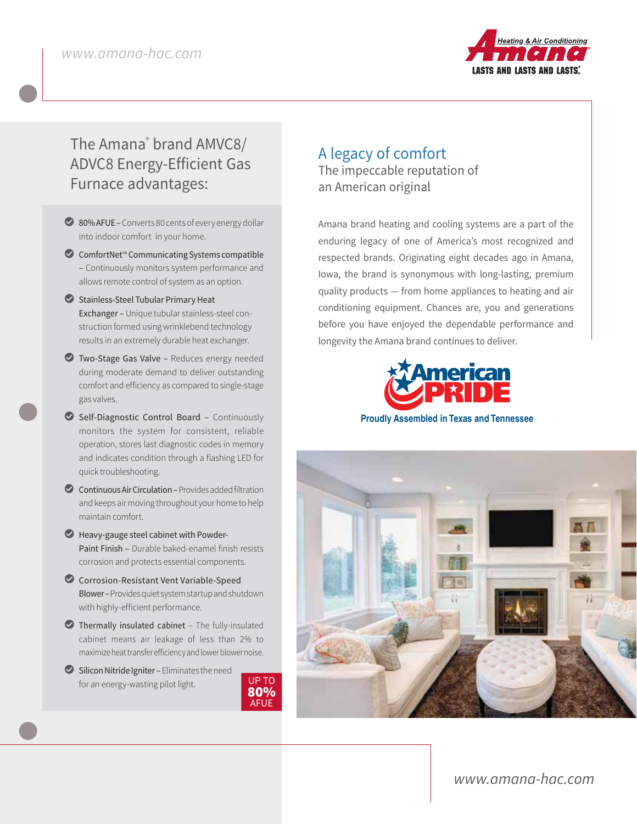

# The Amana® brand AMVC8/ ADVC8 Energy-Efficient Gas Furnace advantages:

- ◯ 80% AFUE Converts 80 cents of every energy dollar into indoor comfort in your home.
- $\bullet$  ComfortNet<sup>™</sup> Communicating Systems compatible – Continuously monitors system performance and allows remote control of system as an option.
- Stainless-Steel Tubular Primary Heat Exchanger – Unique tubular stainless-steel construction formed using wrinklebend technology results in an extremely durable heat exchanger.
- L Two-Stage Gas Valve Reduces energy needed during moderate demand to deliver outstanding comfort and efficiency as compared to single-stage gas valves.
- L Self-Diagnostic Control Board Continuously monitors the system for consistent, reliable operation, stores last diagnostic codes in memory and indicates condition through a flashing LED for quick troubleshooting.
- $\bullet$  Continuous Air Circulation Provides added filtration and keeps air moving throughout your home to help maintain comfort.
- $\bullet$  Heavy-gauge steel cabinet with Powder-Paint Finish – Durable baked-enamel finish resists corrosion and protects essential components.
- Corrosion-Resistant Vent Variable-Speed Blower – Provides quiet system startup and shutdown with highly-efficient performance.
- $\bullet$  Thermally insulated cabinet The fully-insulated cabinet means air leakage of less than 2% to maximize heat transfer efficiency and lower blower noise.
- $\bullet$  Silicon Nitride Igniter Eliminates the need for an energy-wasting pilot light.



## A legacy of comfort The impeccable reputation of an American original

Amana brand heating and cooling systems are a part of the enduring legacy of one of America's most recognized and respected brands. Originating eight decades ago in Amana, Iowa, the brand is synonymous with long-lasting, premium quality products — from home appliances to heating and air conditioning equipment. Chances are, you and generations before you have enjoyed the dependable performance and longevity the Amana brand continues to deliver.



**Proudly Assembled in Texas and Tennessee**